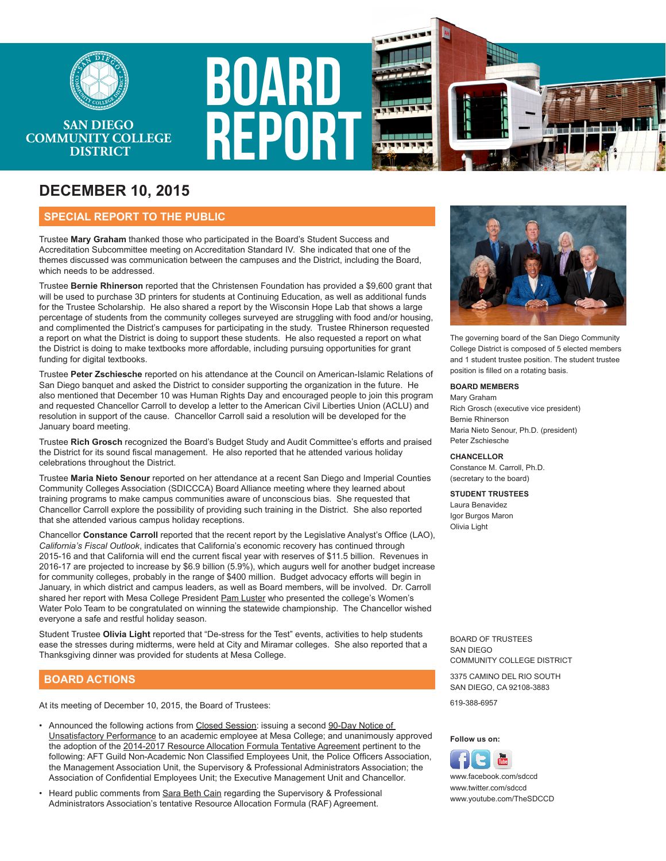

# **SAN DIEGO COMMUNITY COLLEGE DISTRICT**

# **DECEMBER 10, 2015**

## **SPECIAL REPORT TO THE PUBLIC**

Trustee **Mary Graham** thanked those who participated in the Board's Student Success and Accreditation Subcommittee meeting on Accreditation Standard IV. She indicated that one of the themes discussed was communication between the campuses and the District, including the Board, which needs to be addressed.

**BOARD** 

**REPOR** 

Trustee **Bernie Rhinerson** reported that the Christensen Foundation has provided a \$9,600 grant that will be used to purchase 3D printers for students at Continuing Education, as well as additional funds for the Trustee Scholarship. He also shared a report by the Wisconsin Hope Lab that shows a large percentage of students from the community colleges surveyed are struggling with food and/or housing, and complimented the District's campuses for participating in the study. Trustee Rhinerson requested a report on what the District is doing to support these students. He also requested a report on what the District is doing to make textbooks more affordable, including pursuing opportunities for grant funding for digital textbooks.

Trustee **Peter Zschiesche** reported on his attendance at the Council on American-Islamic Relations of San Diego banquet and asked the District to consider supporting the organization in the future. He also mentioned that December 10 was Human Rights Day and encouraged people to join this program and requested Chancellor Carroll to develop a letter to the American Civil Liberties Union (ACLU) and resolution in support of the cause. Chancellor Carroll said a resolution will be developed for the January board meeting.

Trustee **Rich Grosch** recognized the Board's Budget Study and Audit Committee's efforts and praised the District for its sound fiscal management. He also reported that he attended various holiday celebrations throughout the District.

Trustee **Maria Nieto Senour** reported on her attendance at a recent San Diego and Imperial Counties Community Colleges Association (SDICCCA) Board Alliance meeting where they learned about training programs to make campus communities aware of unconscious bias. She requested that Chancellor Carroll explore the possibility of providing such training in the District. She also reported that she attended various campus holiday receptions.

Chancellor **Constance Carroll** reported that the recent report by the Legislative Analyst's Office (LAO), *California's Fiscal Outlook*, indicates that California's economic recovery has continued through 2015-16 and that California will end the current fiscal year with reserves of \$11.5 billion. Revenues in 2016-17 are projected to increase by \$6.9 billion (5.9%), which augurs well for another budget increase for community colleges, probably in the range of \$400 million. Budget advocacy efforts will begin in January, in which district and campus leaders, as well as Board members, will be involved. Dr. Carroll shared her report with Mesa College President Pam Luster who presented the college's Women's Water Polo Team to be congratulated on winning the statewide championship. The Chancellor wished everyone a safe and restful holiday season.

Student Trustee **Olivia Light** reported that "De-stress for the Test" events, activities to help students ease the stresses during midterms, were held at City and Miramar colleges. She also reported that a Thanksgiving dinner was provided for students at Mesa College.

### **BOARD ACTIONS**

At its meeting of December 10, 2015, the Board of Trustees: 619-388-6957

- Announced the following actions from Closed Session: issuing a second 90-Day Notice of Unsatisfactory Performance to an academic employee at Mesa College; and unanimously approved the adoption of the 2014-2017 Resource Allocation Formula Tentative Agreement pertinent to the following: AFT Guild Non-Academic Non Classified Employees Unit, the Police Officers Association, the Management Association Unit, the Supervisory & Professional Administrators Association; the Association of Confidential Employees Unit; the Executive Management Unit and Chancellor.
- Heard public comments from Sara Beth Cain regarding the Supervisory & Professional Administrators Association's tentative Resource Allocation Formula (RAF) Agreement.



The governing board of the San Diego Community College District is composed of 5 elected members and 1 student trustee position. The student trustee position is filled on a rotating basis.

#### **BOARD MEMBERS**

Mary Graham Rich Grosch (executive vice president) Bernie Rhinerson Maria Nieto Senour, Ph.D. (president) Peter Zschiesche

#### **CHANCELLOR**

Constance M. Carroll, Ph.D. (secretary to the board)

#### **STUDENT TRUSTEES**

Laura Benavidez Igor Burgos Maron Olivia Light

BOARD OF TRUSTEES SAN DIEGO COMMUNITY COLLEGE DISTRICT

3375 CAMINO DEL RIO SOUTH SAN DIEGO, CA 92108-3883

#### **Follow us on:**



www.youtube.com/TheSDCCD www.facebook.com/sdccd www.twitter.com/sdccd